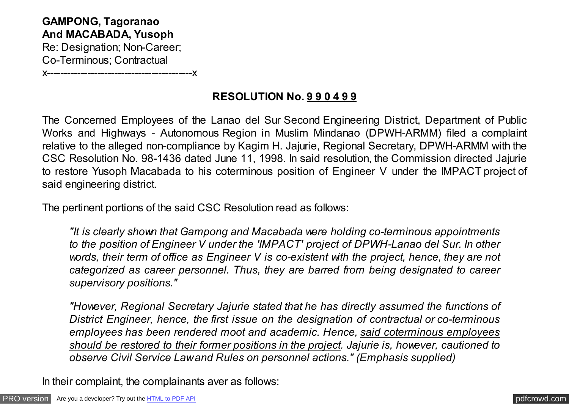**GAMPONG, Tagoranao And MACABADA, Yusoph** Re: Designation; Non-Career; Co-Terminous; Contractual

x-------------------------------------------x

## **RESOLUTION No. 9 9 0 4 9 9**

The Concerned Employees of the Lanao del Sur Second Engineering District, Department of Public Works and Highways - Autonomous Region in Muslim Mindanao (DPWH-ARMM) filed a complaint relative to the alleged non-compliance by Kagim H. Jajurie, Regional Secretary, DPWH-ARMM with the CSC Resolution No. 98-1436 dated June 11, 1998. In said resolution, the Commission directed Jajurie to restore Yusoph Macabada to his coterminous position of Engineer V under the IMPACT project of said engineering district.

The pertinent portions of the said CSC Resolution read as follows:

*"It is clearly shown that Gampong and Macabada were holding co-terminous appointments to the position of Engineer V under the 'IMPACT' project of DPWH-Lanao del Sur. In other words, their term of office as Engineer V is co-existent with the project, hence, they are not categorized as career personnel. Thus, they are barred from being designated to career supervisory positions."*

*"However, Regional Secretary Jajurie stated that he has directly assumed the functions of District Engineer, hence, the first issue on the designation of contractual or co-terminous employees has been rendered moot and academic. Hence, said coterminous employees should be restored to their former positions in the project. Jajurie is, however, cautioned to observe Civil Service Law and Rules on personnel actions." (Emphasis supplied)*

In their complaint, the complainants aver as follows: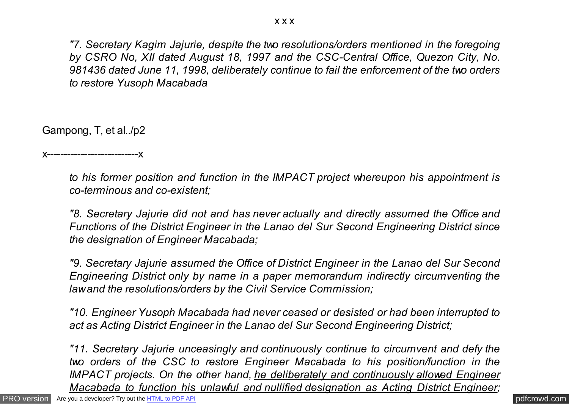*"7. Secretary Kagim Jajurie, despite the two resolutions/orders mentioned in the foregoing by CSRO No, XII dated August 18, 1997 and the CSC-Central Office, Quezon City, No. 981436 dated June 11, 1998, deliberately continue to fail the enforcement of the two orders to restore Yusoph Macabada*

Gampong, T, et al../p2

x---------------------------x

*to his former position and function in the IMPACT project whereupon his appointment is co-terminous and co-existent;*

*"8. Secretary Jajurie did not and has never actually and directly assumed the Office and Functions of the District Engineer in the Lanao del Sur Second Engineering District since the designation of Engineer Macabada;*

*"9. Secretary Jajurie assumed the Office of District Engineer in the Lanao del Sur Second Engineering District only by name in a paper memorandum indirectly circumventing the law and the resolutions/orders by the Civil Service Commission;*

*"10. Engineer Yusoph Macabada had never ceased or desisted or had been interrupted to act as Acting District Engineer in the Lanao del Sur Second Engineering District;*

*"11. Secretary Jajurie unceasingly and continuously continue to circumvent and defy the two orders of the CSC to restore Engineer Macabada to his position/function in the IMPACT projects. On the other hand, he deliberately and continuously allowed Engineer Macabada to function his unlawful and nullified designation as Acting District Engineer;*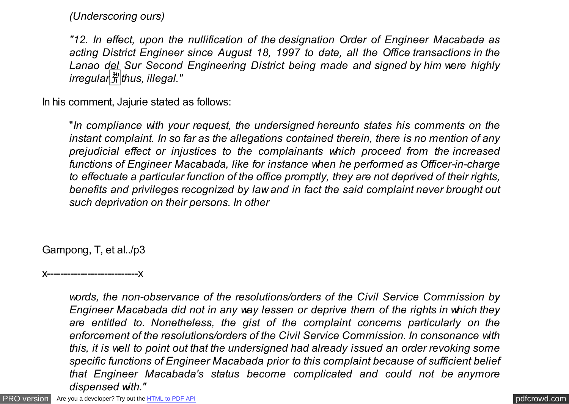*(Underscoring ours)*

*"12. In effect, upon the nullification of the designation Order of Engineer Macabada as acting District Engineer since August 18, 1997 to date, all the Office transactions in the Lanao del Sur Second Engineering District being made and signed by him were highly irregular*�*thus, illegal."*

In his comment, Jajurie stated as follows:

"*In compliance with your request, the undersigned hereunto states his comments on the instant complaint. In so far as the allegations contained therein, there is no mention of any prejudicial effect or injustices to the complainants which proceed from the increased functions of Engineer Macabada, like for instance when he performed as Officer-in-charge to effectuate a particular function of the office promptly, they are not deprived of their rights, benefits and privileges recognized by law and in fact the said complaint never brought out such deprivation on their persons. In other*

Gampong, T, et al../p3

x---------------------------x

*words, the non-observance of the resolutions/orders of the Civil Service Commission by Engineer Macabada did not in any way lessen or deprive them of the rights in which they are entitled to. Nonetheless, the gist of the complaint concerns particularly on the enforcement of the resolutions/orders of the Civil Service Commission. In consonance with this, it is well to point out that the undersigned had already issued an order revoking some specific functions of Engineer Macabada prior to this complaint because of sufficient belief that Engineer Macabada's status become complicated and could not be anymore dispensed with."*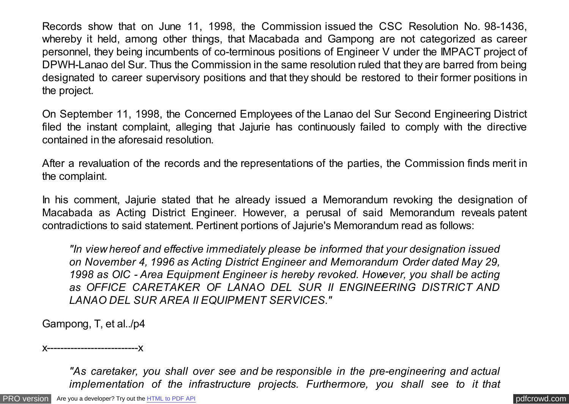Records show that on June 11, 1998, the Commission issued the CSC Resolution No. 98-1436, whereby it held, among other things, that Macabada and Gampong are not categorized as career personnel, they being incumbents of co-terminous positions of Engineer V under the IMPACT project of DPWH-Lanao del Sur. Thus the Commission in the same resolution ruled that they are barred from being designated to career supervisory positions and that they should be restored to their former positions in the project.

On September 11, 1998, the Concerned Employees of the Lanao del Sur Second Engineering District filed the instant complaint, alleging that Jajurie has continuously failed to comply with the directive contained in the aforesaid resolution.

After a revaluation of the records and the representations of the parties, the Commission finds merit in the complaint.

In his comment, Jajurie stated that he already issued a Memorandum revoking the designation of Macabada as Acting District Engineer. However, a perusal of said Memorandum reveals patent contradictions to said statement. Pertinent portions of Jajurie's Memorandum read as follows:

*"In view hereof and effective immediately please be informed that your designation issued on November 4, 1996 as Acting District Engineer and Memorandum Order dated May 29, 1998 as OIC - Area Equipment Engineer is hereby revoked. However, you shall be acting as OFFICE CARETAKER OF LANAO DEL SUR II ENGINEERING DISTRICT AND LANAO DEL SUR AREA II EQUIPMENT SERVICES."*

Gampong, T, et al../p4

x---------------------------x

*"As caretaker, you shall over see and be responsible in the pre-engineering and actual implementation of the infrastructure projects. Furthermore, you shall see to it that*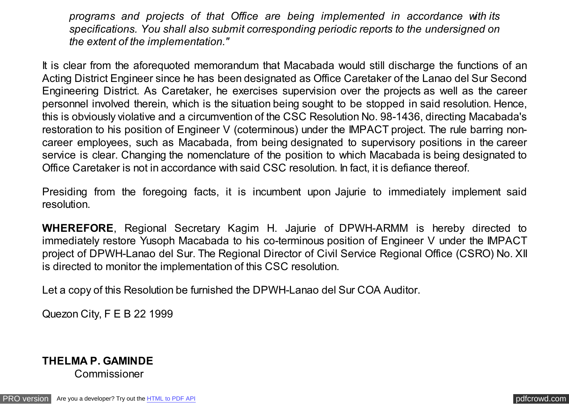*programs and projects of that Office are being implemented in accordance with its specifications. You shall also submit corresponding periodic reports to the undersigned on the extent of the implementation."*

It is clear from the aforequoted memorandum that Macabada would still discharge the functions of an Acting District Engineer since he has been designated as Office Caretaker of the Lanao del Sur Second Engineering District. As Caretaker, he exercises supervision over the projects as well as the career personnel involved therein, which is the situation being sought to be stopped in said resolution. Hence, this is obviously violative and a circumvention of the CSC Resolution No. 98-1436, directing Macabada's restoration to his position of Engineer V (coterminous) under the IMPACT project. The rule barring noncareer employees, such as Macabada, from being designated to supervisory positions in the career service is clear. Changing the nomenclature of the position to which Macabada is being designated to Office Caretaker is not in accordance with said CSC resolution. In fact, it is defiance thereof.

Presiding from the foregoing facts, it is incumbent upon Jajurie to immediately implement said resolution.

**WHEREFORE**, Regional Secretary Kagim H. Jajurie of DPWH-ARMM is hereby directed to immediately restore Yusoph Macabada to his co-terminous position of Engineer V under the IMPACT project of DPWH-Lanao del Sur. The Regional Director of Civil Service Regional Office (CSRO) No. XII is directed to monitor the implementation of this CSC resolution.

Let a copy of this Resolution be furnished the DPWH-Lanao del Sur COA Auditor.

Quezon City, F E B 22 1999

## **THELMA P. GAMINDE**  Commissioner

[PRO version](http://pdfcrowd.com/customize/) Are you a developer? Try out th[e HTML to PDF API](http://pdfcrowd.com/html-to-pdf-api/?ref=pdf) contract the community of the HTML to PDF API [pdfcrowd.com](http://pdfcrowd.com)